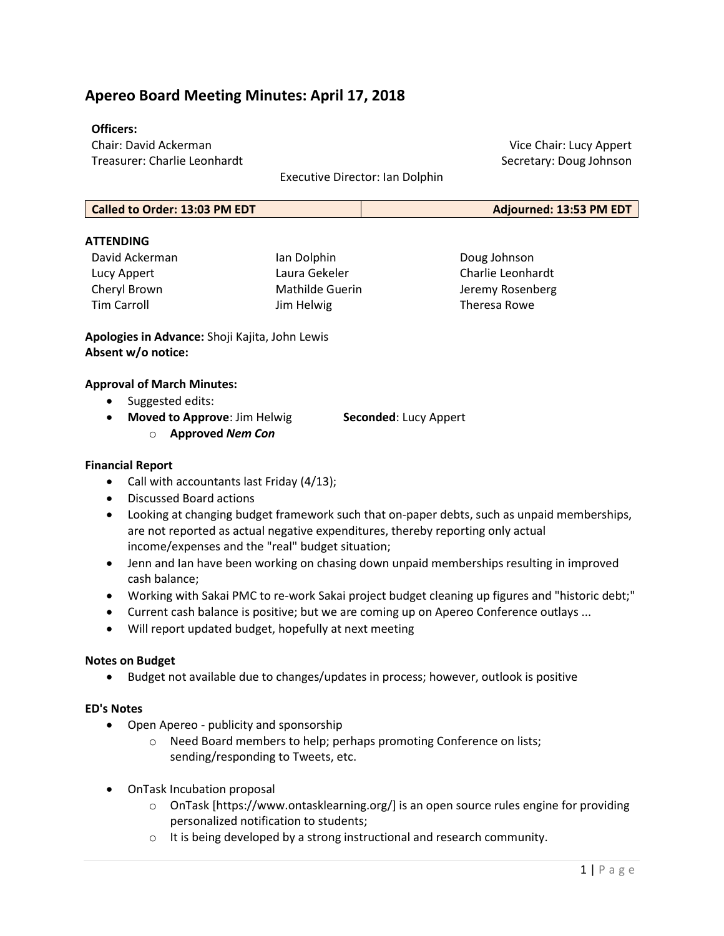# Apereo Board Meeting Minutes: April 17, 2018

### Officers:

Chair: David Ackerman Treasurer: Charlie Leonhardt

Executive Director: Ian Dolphin

| Called to Order: 13:03 PM EDT | Adjourned: 13:53 PM EDT |
|-------------------------------|-------------------------|
|-------------------------------|-------------------------|

### **ATTFNDING**

| David Ackerman     | lan Dolp |  |  |
|--------------------|----------|--|--|
| Lucy Appert        | Laura G  |  |  |
| Cheryl Brown       | Mathild  |  |  |
| <b>Tim Carroll</b> | Jim Hely |  |  |

phin lekeler le Guerin wig

Doug Johnson Charlie Leonhardt Jeremy Rosenberg Theresa Rowe

Vice Chair: Lucy Appert Secretary: Doug Johnson

Apologies in Advance: Shoji Kajita, John Lewis Absent w/o notice:

#### Approval of March Minutes:

- Suggested edits:
- Moved to Approve: Jim Helwig Seconded: Lucy Appert
	- o Approved Nem Con

- Financial Report
	- Call with accountants last Friday (4/13);
	- Discussed Board actions
	- Looking at changing budget framework such that on-paper debts, such as unpaid memberships, are not reported as actual negative expenditures, thereby reporting only actual income/expenses and the "real" budget situation;
	- Jenn and Ian have been working on chasing down unpaid memberships resulting in improved cash balance;
	- Working with Sakai PMC to re-work Sakai project budget cleaning up figures and "historic debt;"
	- Current cash balance is positive; but we are coming up on Apereo Conference outlays ...
	- Will report updated budget, hopefully at next meeting

### Notes on Budget

• Budget not available due to changes/updates in process; however, outlook is positive

### ED's Notes

- Open Apereo publicity and sponsorship
	- o Need Board members to help; perhaps promoting Conference on lists; sending/responding to Tweets, etc.
- OnTask Incubation proposal
	- $\circ$  OnTask [https://www.ontasklearning.org/] is an open source rules engine for providing personalized notification to students;
	- o It is being developed by a strong instructional and research community.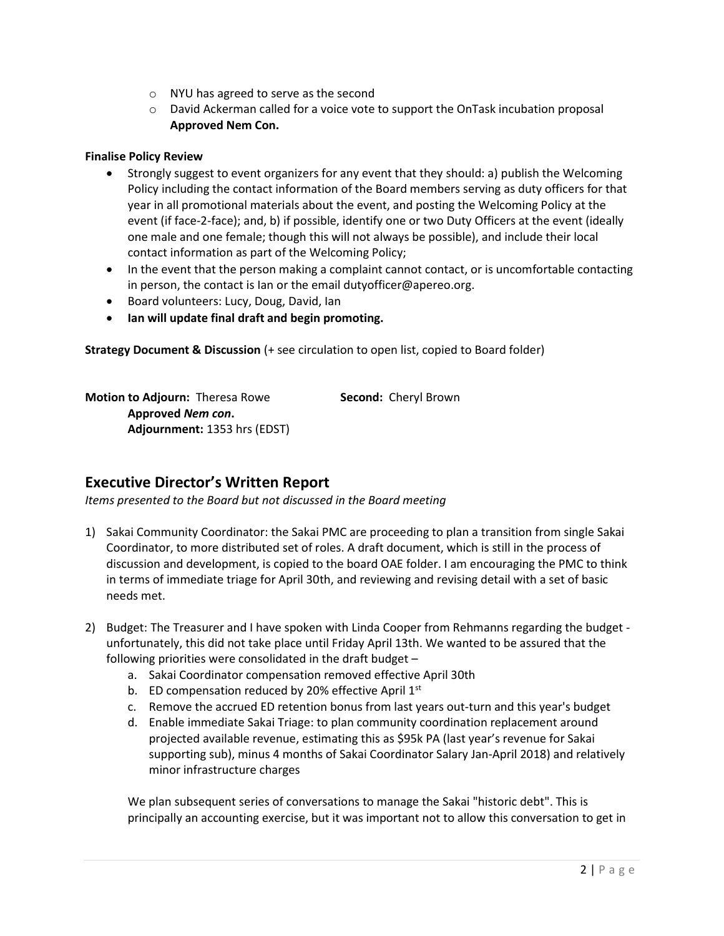- o NYU has agreed to serve as the second
- o David Ackerman called for a voice vote to support the OnTask incubation proposal Approved Nem Con.

### Finalise Policy Review

- Strongly suggest to event organizers for any event that they should: a) publish the Welcoming Policy including the contact information of the Board members serving as duty officers for that year in all promotional materials about the event, and posting the Welcoming Policy at the event (if face-2-face); and, b) if possible, identify one or two Duty Officers at the event (ideally one male and one female; though this will not always be possible), and include their local contact information as part of the Welcoming Policy;
- In the event that the person making a complaint cannot contact, or is uncomfortable contacting in person, the contact is Ian or the email dutyofficer@apereo.org.
- Board volunteers: Lucy, Doug, David, Ian
- Ian will update final draft and begin promoting.

Strategy Document & Discussion (+ see circulation to open list, copied to Board folder)

Motion to Adjourn: Theresa Rowe Second: Cheryl Brown Approved Nem con. Adjournment: 1353 hrs (EDST)

# Executive Director's Written Report

Items presented to the Board but not discussed in the Board meeting

- 1) Sakai Community Coordinator: the Sakai PMC are proceeding to plan a transition from single Sakai Coordinator, to more distributed set of roles. A draft document, which is still in the process of discussion and development, is copied to the board OAE folder. I am encouraging the PMC to think in terms of immediate triage for April 30th, and reviewing and revising detail with a set of basic needs met.
- 2) Budget: The Treasurer and I have spoken with Linda Cooper from Rehmanns regarding the budget unfortunately, this did not take place until Friday April 13th. We wanted to be assured that the following priorities were consolidated in the draft budget –
	- a. Sakai Coordinator compensation removed effective April 30th
	- b. ED compensation reduced by 20% effective April 1<sup>st</sup>
	- c. Remove the accrued ED retention bonus from last years out-turn and this year's budget
	- d. Enable immediate Sakai Triage: to plan community coordination replacement around projected available revenue, estimating this as \$95k PA (last year's revenue for Sakai supporting sub), minus 4 months of Sakai Coordinator Salary Jan-April 2018) and relatively minor infrastructure charges

We plan subsequent series of conversations to manage the Sakai "historic debt". This is principally an accounting exercise, but it was important not to allow this conversation to get in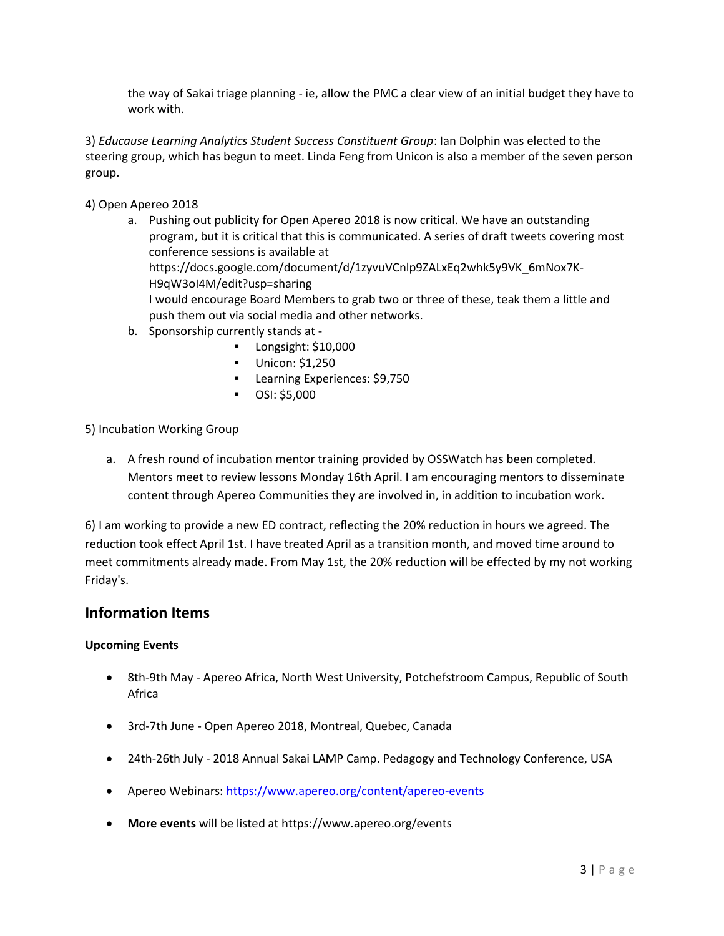the way of Sakai triage planning - ie, allow the PMC a clear view of an initial budget they have to work with.

3) Educause Learning Analytics Student Success Constituent Group: Ian Dolphin was elected to the steering group, which has begun to meet. Linda Feng from Unicon is also a member of the seven person group.

4) Open Apereo 2018

- a. Pushing out publicity for Open Apereo 2018 is now critical. We have an outstanding program, but it is critical that this is communicated. A series of draft tweets covering most conference sessions is available at https://docs.google.com/document/d/1zyvuVCnlp9ZALxEq2whk5y9VK\_6mNox7K-H9qW3oI4M/edit?usp=sharing I would encourage Board Members to grab two or three of these, teak them a little and push them out via social media and other networks.
- b. Sponsorship currently stands at
	- **Longsight: \$10,000**
	- Unicon: \$1,250
	- **Learning Experiences: \$9,750**
	- $\bullet$  OSI: \$5,000

5) Incubation Working Group

a. A fresh round of incubation mentor training provided by OSSWatch has been completed. Mentors meet to review lessons Monday 16th April. I am encouraging mentors to disseminate content through Apereo Communities they are involved in, in addition to incubation work.

6) I am working to provide a new ED contract, reflecting the 20% reduction in hours we agreed. The reduction took effect April 1st. I have treated April as a transition month, and moved time around to meet commitments already made. From May 1st, the 20% reduction will be effected by my not working Friday's.

### Information Items

### Upcoming Events

- 8th-9th May Apereo Africa, North West University, Potchefstroom Campus, Republic of South Africa
- 3rd-7th June Open Apereo 2018, Montreal, Quebec, Canada
- 24th-26th July 2018 Annual Sakai LAMP Camp. Pedagogy and Technology Conference, USA
- Apereo Webinars: https://www.apereo.org/content/apereo-events
- More events will be listed at https://www.apereo.org/events